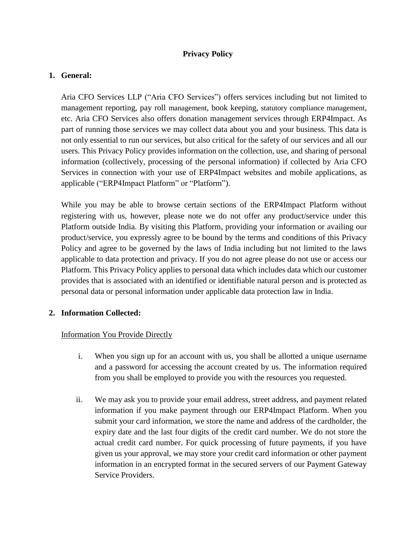# **Privacy Policy**

#### **1. General:**

Aria CFO Services LLP ("Aria CFO Services") offers services including but not limited to management reporting, pay roll management, book keeping, statutory compliance management, etc. Aria CFO Services also offers donation management services through ERP4Impact. As part of running those services we may collect data about you and your business. This data is not only essential to run our services, but also critical for the safety of our services and all our users. This Privacy Policy provides information on the collection, use, and sharing of personal information (collectively, processing of the personal information) if collected by Aria CFO Services in connection with your use of ERP4Impact websites and mobile applications, as applicable ("ERP4Impact Platform" or "Platform").

While you may be able to browse certain sections of the ERP4Impact Platform without registering with us, however, please note we do not offer any product/service under this Platform outside India. By visiting this Platform, providing your information or availing our product/service, you expressly agree to be bound by the terms and conditions of this Privacy Policy and agree to be governed by the laws of India including but not limited to the laws applicable to data protection and privacy. If you do not agree please do not use or access our Platform. This Privacy Policy applies to personal data which includes data which our customer provides that is associated with an identified or identifiable natural person and is protected as personal data or personal information under applicable data protection law in India.

## **2. Information Collected:**

## Information You Provide Directly

- i. When you sign up for an account with us, you shall be allotted a unique username and a password for accessing the account created by us. The information required from you shall be employed to provide you with the resources you requested.
- ii. We may ask you to provide your email address, street address, and payment related information if you make payment through our ERP4Impact Platform. When you submit your card information, we store the name and address of the cardholder, the expiry date and the last four digits of the credit card number. We do not store the actual credit card number. For quick processing of future payments, if you have given us your approval, we may store your credit card information or other payment information in an encrypted format in the secured servers of our Payment Gateway Service Providers.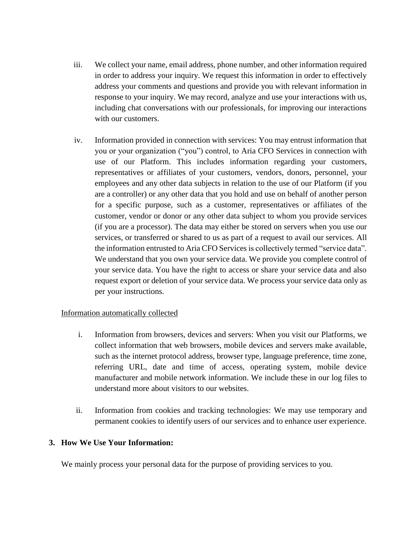- iii. We collect your name, email address, phone number, and other information required in order to address your inquiry. We request this information in order to effectively address your comments and questions and provide you with relevant information in response to your inquiry. We may record, analyze and use your interactions with us, including chat conversations with our professionals, for improving our interactions with our customers.
- iv. Information provided in connection with services: You may entrust information that you or your organization ("you") control, to Aria CFO Services in connection with use of our Platform. This includes information regarding your customers, representatives or affiliates of your customers, vendors, donors, personnel, your employees and any other data subjects in relation to the use of our Platform (if you are a controller) or any other data that you hold and use on behalf of another person for a specific purpose, such as a customer, representatives or affiliates of the customer, vendor or donor or any other data subject to whom you provide services (if you are a processor). The data may either be stored on servers when you use our services, or transferred or shared to us as part of a request to avail our services. All the information entrusted to Aria CFO Services is collectively termed "service data". We understand that you own your service data. We provide you complete control of your service data. You have the right to access or share your service data and also request export or deletion of your service data. We process your service data only as per your instructions.

## Information automatically collected

- i. Information from browsers, devices and servers: When you visit our Platforms, we collect information that web browsers, mobile devices and servers make available, such as the internet protocol address, browser type, language preference, time zone, referring URL, date and time of access, operating system, mobile device manufacturer and mobile network information. We include these in our log files to understand more about visitors to our websites.
- ii. Information from cookies and tracking technologies: We may use temporary and permanent cookies to identify users of our services and to enhance user experience.

#### **3. How We Use Your Information:**

We mainly process your personal data for the purpose of providing services to you.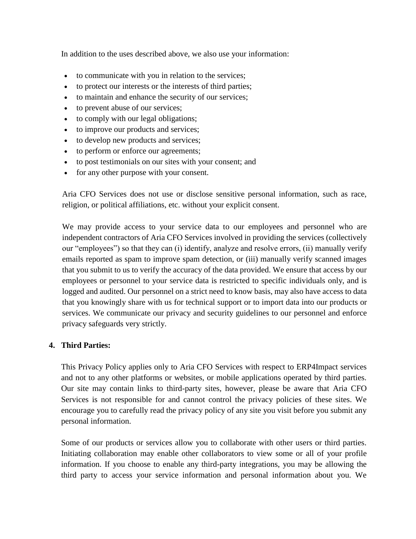In addition to the uses described above, we also use your information:

- to communicate with you in relation to the services;
- to protect our interests or the interests of third parties;
- to maintain and enhance the security of our services;
- to prevent abuse of our services;
- to comply with our legal obligations;
- to improve our products and services;
- to develop new products and services;
- to perform or enforce our agreements;
- to post testimonials on our sites with your consent; and
- for any other purpose with your consent.

Aria CFO Services does not use or disclose sensitive personal information, such as race, religion, or political affiliations, etc. without your explicit consent.

We may provide access to your service data to our employees and personnel who are independent contractors of Aria CFO Services involved in providing the services (collectively our "employees") so that they can (i) identify, analyze and resolve errors, (ii) manually verify emails reported as spam to improve spam detection, or (iii) manually verify scanned images that you submit to us to verify the accuracy of the data provided. We ensure that access by our employees or personnel to your service data is restricted to specific individuals only, and is logged and audited. Our personnel on a strict need to know basis, may also have access to data that you knowingly share with us for technical support or to import data into our products or services. We communicate our privacy and security guidelines to our personnel and enforce privacy safeguards very strictly.

## **4. Third Parties:**

This Privacy Policy applies only to Aria CFO Services with respect to ERP4Impact services and not to any other platforms or websites, or mobile applications operated by third parties. Our site may contain links to third-party sites, however, please be aware that Aria CFO Services is not responsible for and cannot control the privacy policies of these sites. We encourage you to carefully read the privacy policy of any site you visit before you submit any personal information.

Some of our products or services allow you to collaborate with other users or third parties. Initiating collaboration may enable other collaborators to view some or all of your profile information. If you choose to enable any third-party integrations, you may be allowing the third party to access your service information and personal information about you. We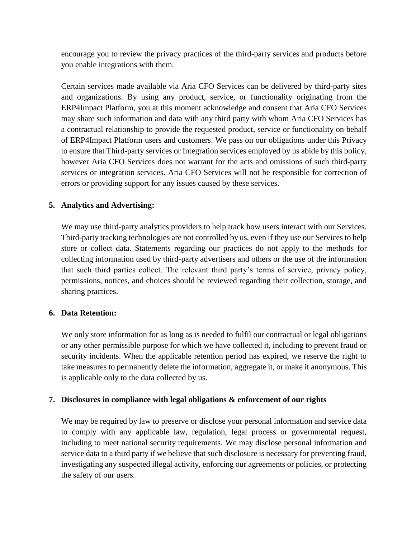encourage you to review the privacy practices of the third-party services and products before you enable integrations with them.

Certain services made available via Aria CFO Services can be delivered by third-party sites and organizations. By using any product, service, or functionality originating from the ERP4Impact Platform, you at this moment acknowledge and consent that Aria CFO Services may share such information and data with any third party with whom Aria CFO Services has a contractual relationship to provide the requested product, service or functionality on behalf of ERP4Impact Platform users and customers. We pass on our obligations under this Privacy to ensure that Third-party services or Integration services employed by us abide by this policy, however Aria CFO Services does not warrant for the acts and omissions of such third-party services or integration services. Aria CFO Services will not be responsible for correction of errors or providing support for any issues caused by these services.

## **5. Analytics and Advertising:**

We may use third-party analytics providers to help track how users interact with our Services. Third-party tracking technologies are not controlled by us, even if they use our Services to help store or collect data. Statements regarding our practices do not apply to the methods for collecting information used by third-party advertisers and others or the use of the information that such third parties collect. The relevant third party's terms of service, privacy policy, permissions, notices, and choices should be reviewed regarding their collection, storage, and sharing practices.

## **6. Data Retention:**

We only store information for as long as is needed to fulfil our contractual or legal obligations or any other permissible purpose for which we have collected it, including to prevent fraud or security incidents. When the applicable retention period has expired, we reserve the right to take measures to permanently delete the information, aggregate it, or make it anonymous. This is applicable only to the data collected by us.

## **7. Disclosures in compliance with legal obligations & enforcement of our rights**

We may be required by law to preserve or disclose your personal information and service data to comply with any applicable law, regulation, legal process or governmental request, including to meet national security requirements. We may disclose personal information and service data to a third party if we believe that such disclosure is necessary for preventing fraud, investigating any suspected illegal activity, enforcing our agreements or policies, or protecting the safety of our users.